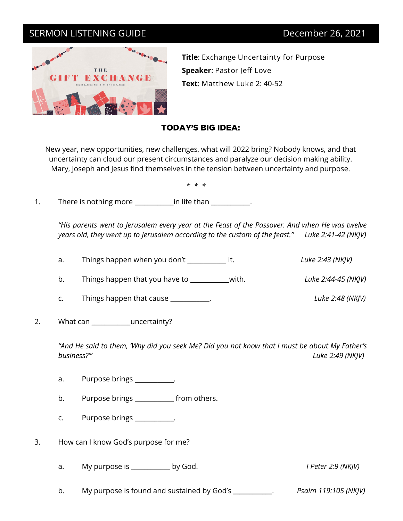## SERMON LISTENING GUIDE DECEMBER 26, 2021



**Title**: Exchange Uncertainty for Purpose **Speaker**: Pastor Jeff Love **Text**: Matthew Luke 2: 40-52

## **TODAY'S BIG IDEA:**

New year, new opportunities, new challenges, what will 2022 bring? Nobody knows, and that uncertainty can cloud our present circumstances and paralyze our decision making ability. Mary, Joseph and Jesus find themselves in the tension between uncertainty and purpose.

 *\* \* \**

1. There is nothing more \_\_\_\_\_\_\_\_\_\_\_\_\_\_\_\_\_\_\_\_\_\_\_\_\_\_\_\_\_\_\_\_\_\_\_.

*"His parents went to Jerusalem every year at the Feast of the Passover. And when He was twelve years old, they went up to Jerusalem according to the custom of the feast." Luke 2:41-42 (NKJV)*

a. Things happen when you don't \_\_\_\_\_\_\_\_\_\_\_\_\_ it. *Luke 2:43 (NKJV)* 

b. Things happen that you have to \_\_\_\_\_\_\_\_\_\_\_\_with. *Luke 2:44-45 (NKJV)*

- c. Things happen that cause \_\_\_\_\_\_\_\_\_\_\_\_. *Luke 2:48 (NKJV)*
- 2. What can \_\_\_\_\_\_\_\_\_\_\_\_\_\_\_\_\_uncertainty?

*"And He said to them, 'Why did you seek Me? Did you not know that I must be about My Father's business?'" Luke 2:49 (NKJV)*

- a. Purpose brings \_\_\_\_\_\_\_\_\_\_\_.
- b. Purpose brings \_\_\_\_\_\_\_\_\_\_\_\_ from others.
- c. Purpose brings \_\_\_\_\_\_\_\_\_\_.
- 3. How can I know God's purpose for me?
	- a. My purpose is \_\_\_\_\_\_\_\_\_\_\_\_\_ by God. *I Peter 2:9 (NKJV)*

b. My purpose is found and sustained by God's \_\_\_\_\_\_\_\_\_\_\_\_. *Psalm 119:105 (NKJV)*